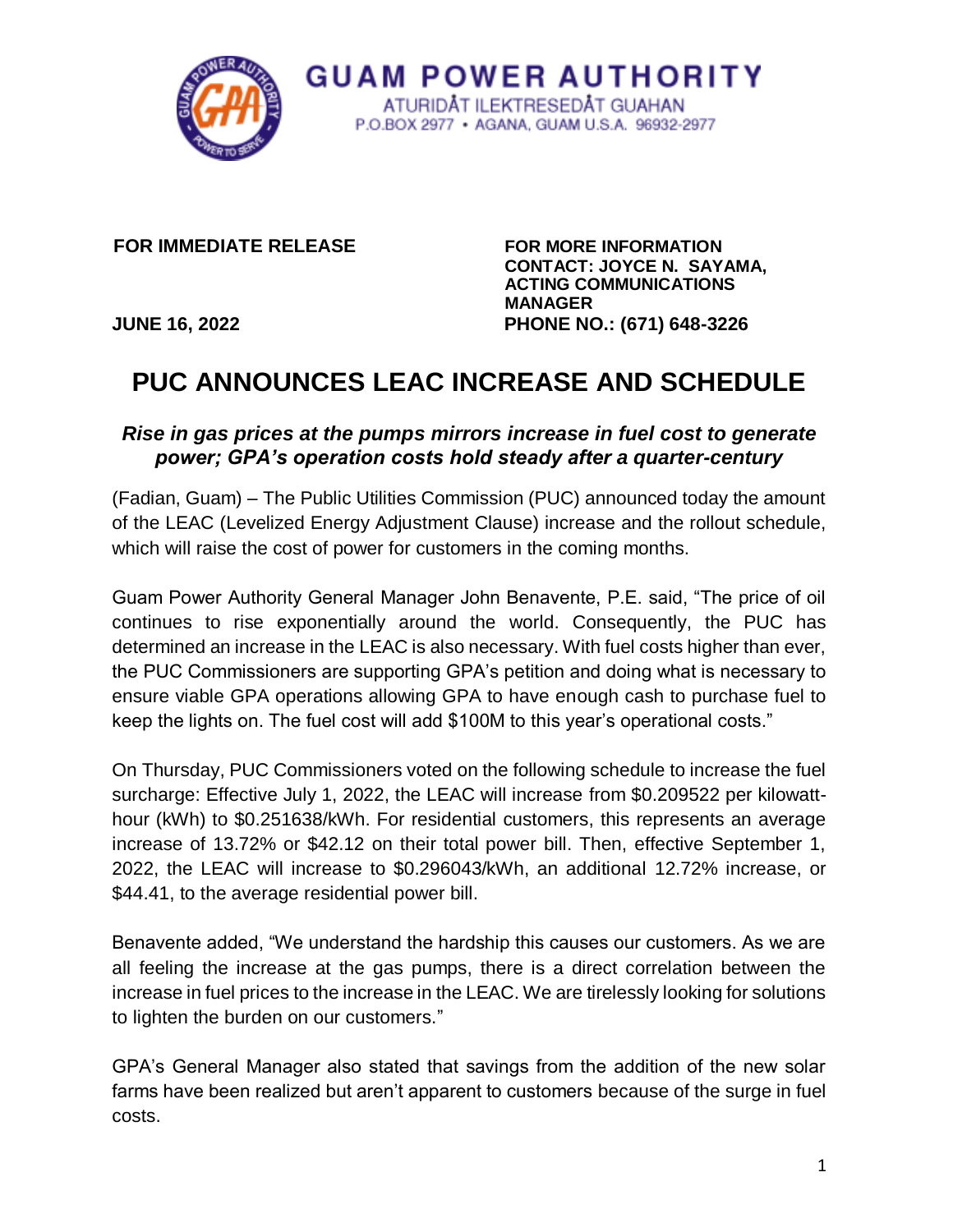

**GUAM POWER AUTHORITY** ATURIDAT ILEKTRESEDAT GUAHAN P.O.BOX 2977 · AGANA, GUAM U.S.A. 96932-2977

**FOR IMMEDIATE RELEASE FOR MORE INFORMATION** 

**CONTACT: JOYCE N. SAYAMA, ACTING COMMUNICATIONS MANAGER JUNE 16, 2022 PHONE NO.: (671) 648-3226** 

# **PUC ANNOUNCES LEAC INCREASE AND SCHEDULE**

# *Rise in gas prices at the pumps mirrors increase in fuel cost to generate power; GPA's operation costs hold steady after a quarter-century*

(Fadian, Guam) – The Public Utilities Commission (PUC) announced today the amount of the LEAC (Levelized Energy Adjustment Clause) increase and the rollout schedule, which will raise the cost of power for customers in the coming months.

Guam Power Authority General Manager John Benavente, P.E. said, "The price of oil continues to rise exponentially around the world. Consequently, the PUC has determined an increase in the LEAC is also necessary. With fuel costs higher than ever, the PUC Commissioners are supporting GPA's petition and doing what is necessary to ensure viable GPA operations allowing GPA to have enough cash to purchase fuel to keep the lights on. The fuel cost will add \$100M to this year's operational costs."

On Thursday, PUC Commissioners voted on the following schedule to increase the fuel surcharge: Effective July 1, 2022, the LEAC will increase from \$0.209522 per kilowatthour (kWh) to \$0.251638/kWh. For residential customers, this represents an average increase of 13.72% or \$42.12 on their total power bill. Then, effective September 1, 2022, the LEAC will increase to \$0.296043/kWh, an additional 12.72% increase, or \$44.41, to the average residential power bill.

Benavente added, "We understand the hardship this causes our customers. As we are all feeling the increase at the gas pumps, there is a direct correlation between the increase in fuel prices to the increase in the LEAC. We are tirelessly looking for solutions to lighten the burden on our customers."

GPA's General Manager also stated that savings from the addition of the new solar farms have been realized but aren't apparent to customers because of the surge in fuel costs.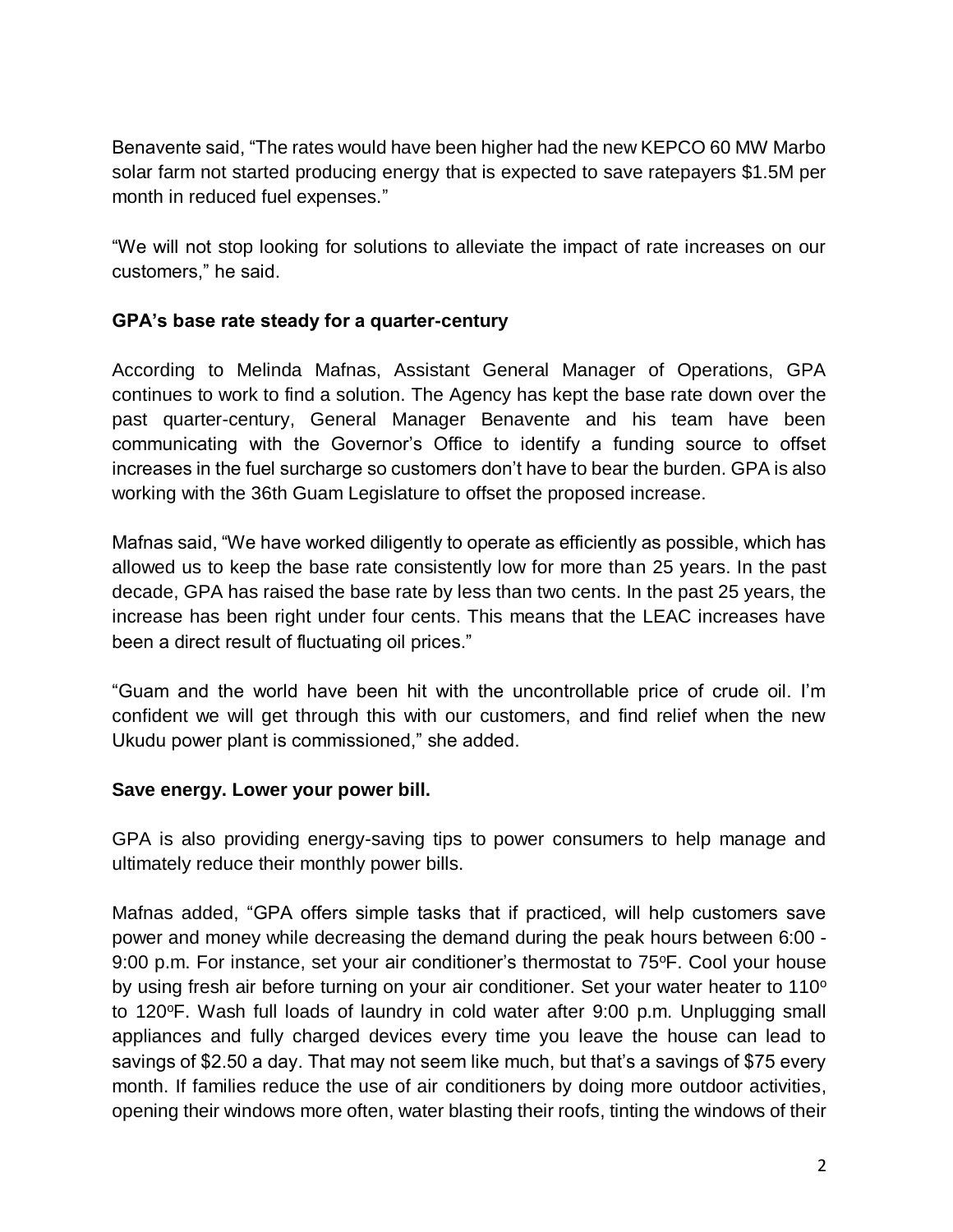Benavente said, "The rates would have been higher had the new KEPCO 60 MW Marbo solar farm not started producing energy that is expected to save ratepayers \$1.5M per month in reduced fuel expenses."

"We will not stop looking for solutions to alleviate the impact of rate increases on our customers," he said.

### **GPA's base rate steady for a quarter-century**

According to Melinda Mafnas, Assistant General Manager of Operations, GPA continues to work to find a solution. The Agency has kept the base rate down over the past quarter-century, General Manager Benavente and his team have been communicating with the Governor's Office to identify a funding source to offset increases in the fuel surcharge so customers don't have to bear the burden. GPA is also working with the 36th Guam Legislature to offset the proposed increase.

Mafnas said, "We have worked diligently to operate as efficiently as possible, which has allowed us to keep the base rate consistently low for more than 25 years. In the past decade, GPA has raised the base rate by less than two cents. In the past 25 years, the increase has been right under four cents. This means that the LEAC increases have been a direct result of fluctuating oil prices."

"Guam and the world have been hit with the uncontrollable price of crude oil. I'm confident we will get through this with our customers, and find relief when the new Ukudu power plant is commissioned," she added.

### **Save energy. Lower your power bill.**

GPA is also providing energy-saving tips to power consumers to help manage and ultimately reduce their monthly power bills.

Mafnas added, "GPA offers simple tasks that if practiced, will help customers save power and money while decreasing the demand during the peak hours between 6:00 - 9:00 p.m. For instance, set your air conditioner's thermostat to  $75^{\circ}$ F. Cool your house by using fresh air before turning on your air conditioner. Set your water heater to  $110^{\circ}$ to 120°F. Wash full loads of laundry in cold water after 9:00 p.m. Unplugging small appliances and fully charged devices every time you leave the house can lead to savings of \$2.50 a day. That may not seem like much, but that's a savings of \$75 every month. If families reduce the use of air conditioners by doing more outdoor activities, opening their windows more often, water blasting their roofs, tinting the windows of their